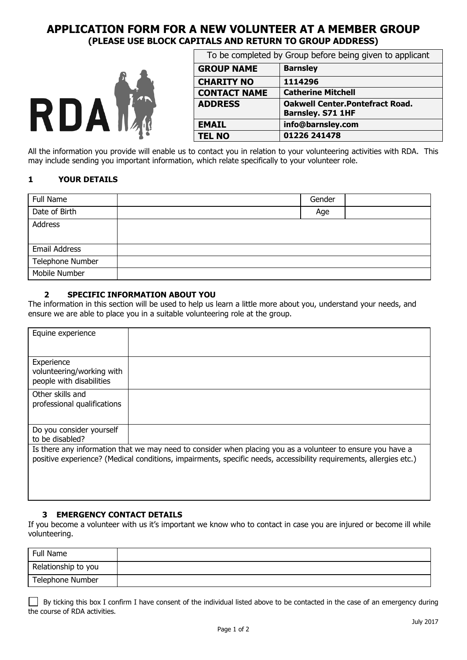# **APPLICATION FORM FOR A NEW VOLUNTEER AT A MEMBER GROUP (PLEASE USE BLOCK CAPITALS AND RETURN TO GROUP ADDRESS)**



|                                                                                                                          | To be completed by Group before being given to applicant |                                                                     |  |  |
|--------------------------------------------------------------------------------------------------------------------------|----------------------------------------------------------|---------------------------------------------------------------------|--|--|
|                                                                                                                          | <b>GROUP NAME</b>                                        | <b>Barnsley</b>                                                     |  |  |
| $\sqrt{2}$<br>RDAM                                                                                                       | <b>CHARITY NO</b>                                        | 1114296                                                             |  |  |
|                                                                                                                          | <b>CONTACT NAME</b>                                      | <b>Catherine Mitchell</b>                                           |  |  |
|                                                                                                                          | <b>ADDRESS</b>                                           | <b>Oakwell Center. Pontefract Road.</b><br><b>Barnsley. S71 1HF</b> |  |  |
|                                                                                                                          | <b>EMAIL</b>                                             | info@barnsley.com                                                   |  |  |
|                                                                                                                          | <b>TEL NO</b>                                            | 01226 241478                                                        |  |  |
| All the information you provide will enable us to contact you in relation to your volunteering activities with RDA. This |                                                          |                                                                     |  |  |

may include sending you important information, which relate specifically to your volunteer role.

# **1 YOUR DETAILS**

| Full Name        | Gender |  |
|------------------|--------|--|
| Date of Birth    | Age    |  |
| Address          |        |  |
|                  |        |  |
| Email Address    |        |  |
| Telephone Number |        |  |
| Mobile Number    |        |  |

### **2 SPECIFIC INFORMATION ABOUT YOU**

The information in this section will be used to help us learn a little more about you, understand your needs, and ensure we are able to place you in a suitable volunteering role at the group.

| Equine experience                                                   |                                                                                                                                                                                                                                  |
|---------------------------------------------------------------------|----------------------------------------------------------------------------------------------------------------------------------------------------------------------------------------------------------------------------------|
|                                                                     |                                                                                                                                                                                                                                  |
| Experience<br>volunteering/working with<br>people with disabilities |                                                                                                                                                                                                                                  |
| Other skills and<br>professional qualifications                     |                                                                                                                                                                                                                                  |
| Do you consider yourself<br>to be disabled?                         |                                                                                                                                                                                                                                  |
|                                                                     | Is there any information that we may need to consider when placing you as a volunteer to ensure you have a<br>positive experience? (Medical conditions, impairments, specific needs, accessibility requirements, allergies etc.) |

### **3 EMERGENCY CONTACT DETAILS**

If you become a volunteer with us it's important we know who to contact in case you are injured or become ill while volunteering.

| Full Name           |  |
|---------------------|--|
| Relationship to you |  |
| Telephone Number    |  |

| $\Box$ By ticking this box I confirm I have consent of the individual listed above to be contacted in the case of an emergency during |
|---------------------------------------------------------------------------------------------------------------------------------------|
| the course of RDA activities.                                                                                                         |